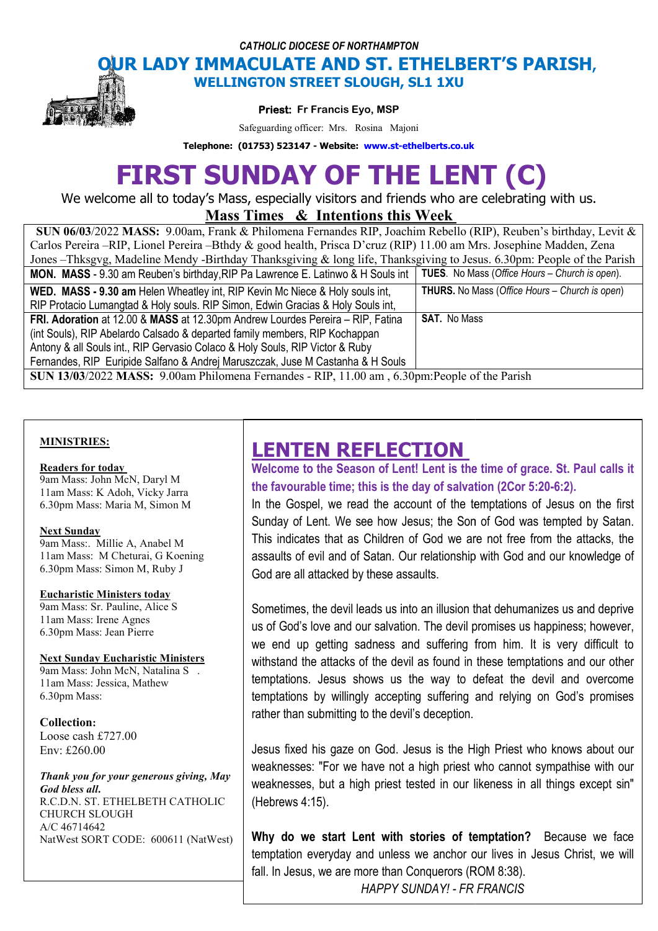*CATHOLIC DIOCESE OF NORTHAMPTON*

## **OUR LADY IMMACULATE AND ST. ETHELBERT'S PARISH, WELLINGTON STREET SLOUGH, SL1 1XU**



**Priest: Fr Francis Eyo, MSP** 

Safeguarding officer: Mrs. Rosina Majoni

**Telephone: (01753) 523147 - Website: www.st-ethelberts.co.uk**

# **FIRST SUNDAY OF THE LENT (C)**

We welcome all to today's Mass, especially visitors and friends who are celebrating with us.

**Mass Times Times & Intentions this Week** 

| <b>SUN 06/03/2022 MASS:</b> 9.00am, Frank & Philomena Fernandes RIP, Joachim Rebello (RIP), Reuben's birthday, Levit &   |                                                       |
|--------------------------------------------------------------------------------------------------------------------------|-------------------------------------------------------|
| Carlos Pereira –RIP, Lionel Pereira –Bthdy & good health, Prisca D'cruz (RIP) 11.00 am Mrs. Josephine Madden, Zena       |                                                       |
| Jones – Thksgyg, Madeline Mendy - Birthday Thanksgiving & long life, Thanksgiving to Jesus. 6.30pm: People of the Parish |                                                       |
| <b>MON. MASS</b> - 9.30 am Reuben's birthday, RIP Pa Lawrence E. Latinwo & H Souls int                                   | <b>TUES.</b> No Mass (Office Hours – Church is open). |
| WED. MASS - 9.30 am Helen Wheatley int, RIP Kevin Mc Niece & Holy souls int,                                             | <b>THURS.</b> No Mass (Office Hours – Church is open) |
| RIP Protacio Lumangtad & Holy souls. RIP Simon, Edwin Gracias & Holy Souls int,                                          |                                                       |
| FRI. Adoration at 12.00 & MASS at 12.30pm Andrew Lourdes Pereira - RIP, Fatina                                           | <b>SAT.</b> No Mass                                   |
| (int Souls), RIP Abelardo Calsado & departed family members, RIP Kochappan                                               |                                                       |
| Antony & all Souls int., RIP Gervasio Colaco & Holy Souls, RIP Victor & Ruby                                             |                                                       |
| Fernandes, RIP Euripide Salfano & Andrej Maruszczak, Juse M Castanha & H Souls                                           |                                                       |
| SUN 13/03/2022 MASS: 9.00am Philomena Fernandes - RIP, 11.00 am, 6.30pm: People of the Parish                            |                                                       |

### **MINISTRIES:**

### **Readers for today**

9am Mass: John McN, Daryl M 11am Mass: K Adoh, Vicky Jarra 6.30pm Mass: Maria M, Simon M

### **Next Sunday**

9am Mass:. Millie A, Anabel M 11am Mass: M Cheturai, G Koening 6.30pm Mass: Simon M, Ruby J

### **Eucharistic Ministers today**

9am Mass: Sr. Pauline, Alice S 11am Mass: Irene Agnes 6.30pm Mass: Jean Pierre

### **Next Sunday Eucharistic Ministers**

9am Mass: John McN, Natalina S . 11am Mass: Jessica, Mathew 6.30pm Mass:

**Collection:**  Loose cash £727.00 Env: £260.00

*Thank you for your generous giving, May God bless all***.**  R.C.D.N. ST. ETHELBETH CATHOLIC CHURCH SLOUGH A/C 46714642 NatWest SORT CODE: 600611 (NatWest)

## **LENTEN REFLECTION**

Welcome to the Season of Lent! Lent is the time of grace. St. Paul calls it the favourable time; this is the day of salvation (2Cor 5:20-6:2).

In the Gospel, we read the account of the temptations of Jesus on the first Sunday of Lent. We see how Jesus; the Son of God was tempted by Satan. This indicates that as Children of God we are not free from the attacks, the assaults of evil and of Satan. Our relationship with God and our knowledge of God are all attacked by these assaults.

Sometimes, the devil leads us into an illusion that dehumanizes us and deprive us of God's love and our salvation. The devil promises us happiness; however, we end up getting sadness and suffering from him. It is very difficult to withstand the attacks of the devil as found in these temptations and our other temptations. Jesus shows us the way to defeat the devil temptations by willingly accepting suffering and relying on God's promises rather than submitting to the devil's deception. aults of evil and of Satan. Our relationship with God and our knowledge of<br>are all attacked by these assaults.<br>hetimes, the devil leads us into an illusion that dehumanizes us and deprive<br>f God's love and our salvation. Th

Jesus fixed his gaze on God. Jesus is the High Priest who knows about our weaknesses: "For we have not a high priest who cannot sympathise with our weaknesses, but a high priest tested in our likeness in all things except sin" (Hebrews 4:15). rather than submitting to the devil's deception.<br>Jesus fixed his gaze on God. Jesus is the High Priest who knows about our<br>weaknesses: "For we have not a high priest who cannot sympathise with our<br>weaknesses, but a high pr

Why do we start Lent with stories of temptation? Because we face temptation everyday and unless we anchor our lives in Jesus Christ, we will temptation everyday and unless we anchor our lives in<br>fall. In Jesus, we are more than Conquerors (ROM 8:38). *HAPPY SUNDAY! - FR FRANCIS FR*